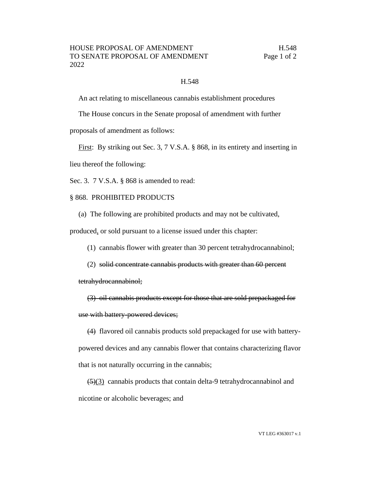## H.548

An act relating to miscellaneous cannabis establishment procedures

The House concurs in the Senate proposal of amendment with further

proposals of amendment as follows:

First: By striking out Sec. 3, 7 V.S.A. § 868, in its entirety and inserting in lieu thereof the following:

Sec. 3. 7 V.S.A. § 868 is amended to read:

## § 868. PROHIBITED PRODUCTS

(a) The following are prohibited products and may not be cultivated,

produced, or sold pursuant to a license issued under this chapter:

(1) cannabis flower with greater than 30 percent tetrahydrocannabinol;

(2) solid concentrate cannabis products with greater than 60 percent

tetrahydrocannabinol;

(3) oil cannabis products except for those that are sold prepackaged for use with battery-powered devices;

(4) flavored oil cannabis products sold prepackaged for use with batterypowered devices and any cannabis flower that contains characterizing flavor that is not naturally occurring in the cannabis;

 $\left(\frac{5}{3}\right)$  cannabis products that contain delta-9 tetrahydrocannabinol and nicotine or alcoholic beverages; and